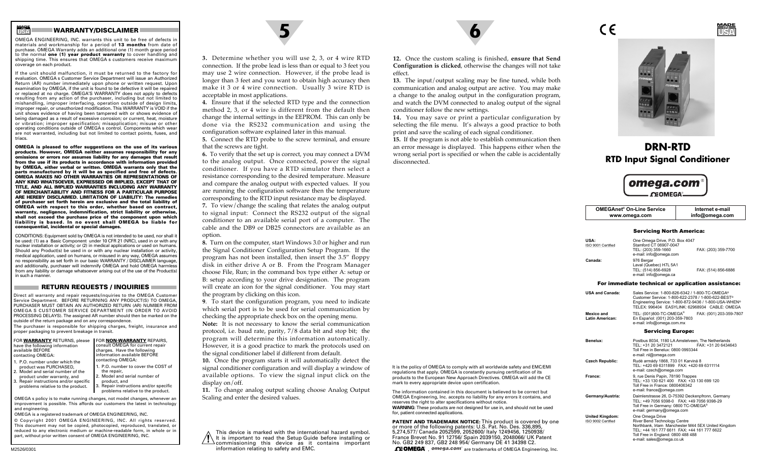#### **WARRANTY/DISCLAIMER 5 6**

OMEGA ENGINEERING, INC. warrants this unit to be free of defects in materials and workmanship for a period of **13 months** from date of purchase. OMEGA Warranty adds an additional one (1) month grace period to the normal **one (1) year product warranty** to cover handling and shipping time. This ensures that OMEGA s customers receive maximum coverage on each product.

If the unit should malfunction, it must be returned to the factory for evaluation. OMEGA s Customer Service Department will issue an Authorized Return (AR) number immediately upon phone or written request. Upon examination by OMEGA, if the unit is found to be defective it will be repaired or replaced at no charge. OMEGA'S WARRANTY does not apply to defects resulting from any action of the purchaser, including but not limited to mishandling, improper interfacing, operation outside of design limits, improper repair, or unauthorized modification. This WARRANTY is VOID if the unit shows evidence of having been tampered with or shows evidence of being damaged as a result of excessive corrosion; or current, heat, moisture or vibration; improper specification; misapplication; misuse or other operating conditions outside of OMEGA s control. Components which wear are not warranted, including but not limited to contact points, fuses, and triacs.

**OMEGA is pleased to offer suggestions on the use of its various products. However, OMEGA neither assumes responsibility for any omissions or errors nor assumes liability for any damages that result from the use if its products in accordance with information provided by OMEGA, either verbal or written. OMEGA warrants only that the parts manufactured by it will be as specified and free of defects. OMEGA MAKES NO OTHER WARRANTIES OR REPRESENTATIONS OF ANY KIND WHATSOEVER, EXPRESSED OR IMPLIED, EXCEPT THAT OF TITLE, AND ALL IMPLIED WARRANTIES INCLUDING ANY WARRANTY OF MERCHANTABILITY AND FITNESS FOR A PARTICULAR PURPOSE ARE HEREBY DISCLAIMED. LIMITATION OF LIABILITY: The remedies of purchaser set forth herein are exclusive and the total liability of OMEGA with respect to this order, whether based on contract, warranty, negligence, indemnification, strict liability or otherwise, shall not exceed the purchase price of the component upon which liability is based. In no event shall OMEGA be liable for consequential, incidental or special damages.**

CONDITIONS: Equipment sold by OMEGA is not intended to be used, nor shall it be used: (1) as a Basic Component under 10 CFR 21 (NRC), used in or with any nuclear installation or activity; or (2) in medical applications or used on humans. Should any Product(s) be used in or with any nuclear installation or activity, medical application, used on humans, or misused in any way, OMEGA assumes no responsibility as set forth in our basic WARRANTY / DISCLAIMER language, and additionally, purchaser will indemnify OMEGA and hold OMEGA harmless from any liability or damage whatsoever arising out of the use of the Product(s) in such a manner.

#### **RETURN REQUESTS / INQUIRIES**

Direct all warranty and repair requests/inquiries to the OMEGA Customer Service Department. BEFORE RETURNING ANY PRODUCT(S) TO OMEGA, PURCHASER MUST OBTAIN AN AUTHORIZED RETURN (AR) NUMBER FROM OMEGA S CUSTOMER SERVICE DEPARTMENT (IN ORDER TO AVOID PROCESSING DELAYS). The assigned AR number should then be marked on the outside of the return package and on any correspondence.

The purchaser is responsible for shipping charges, freight, insurance and proper packaging to prevent breakage in transit.

| FOR WARRANTY RETURNS, please<br>have the following information<br>available BEFORE | <b>FOR NON-WARRANTY REPAIRS,</b><br>consult OMEGA for current repair<br>charges. Have the following<br>information available BEFORE |
|------------------------------------------------------------------------------------|-------------------------------------------------------------------------------------------------------------------------------------|
| contacting OMEGA:<br>1. P.O. number under which the                                | contacting OMEGA:                                                                                                                   |
| product was PURCHASED,                                                             | 1. P.O. number to cover the COST of                                                                                                 |
| 2. Model and serial number of the<br>product under warranty, and                   | the repair,<br>2. Model and serial number of                                                                                        |

product under warranty, and 3. Repair instructions and/or specific problems relative to the product. product, and Repair instructions and/or specific problems relative to the product.

OMEGA s policy is to make running changes, not model changes, whenever an improvement is possible. This affords our customers the latest in technology and engineering.

OMEGA is a registered trademark of OMEGA ENGINEERING, INC. © Copyright 2001 OMEGA ENGINEERING, INC. All rights reserved. This document may not be copied, photocopied, reproduced, translated, or reduced to any electronic medium or machine-readable form, in whole or in part, without prior written consent of OMEGA ENGINEERING, INC.



**3.** Determine whether you will use 2, 3, or 4 wire RTD connection. If the probe lead is less than or equal to 3 feet you may use 2 wire connection. However, if the probe lead is longer than 3 feet and you want to obtain high accuracy then make it 3 or 4 wire connection. Usually 3 wire RTD is acceptable in most applications.

**4.** Ensure that if the selected RTD type and the connection method 2, 3, or 4 wire is different from the default then change the internal settings in the EEPROM. This can only be done via the RS232 communication and using the configuration software explained later in this manual.

**5.** Connect the RTD probe to the screw terminal, and ensure that the screws are tight.

**6.** To verify that the set up is correct, you may connect a DVM to the analog output. Once connected, power the signal conditioner. If you have a RTD simulator then select a resistance corresponding to the desired temperature. Measure and compare the analog output with expected values. If you are running the configuration software then the temperature corresponding to the RTD input resistance may be displayed. **7.** To view/change the scaling that relates the analog output

to signal input: Connect the RS232 output of the signal conditioner to an available serial port of a computer. The cable and the DB9 or DB25 connectors are available as anoption.

**8.** Turn on the computer, start Windows 3.0 or higher and run the Signal Conditioner Configuration Setup Program. If the program has not been installed, then insert the 3.5" floppy disk in either drive A or B. From the Program Manager choose File, Run; in the command box type either A: setup or B: setup according to your drive designation. The program will create an icon for the signal conditioner. You may start the program by clicking on this icon.

**<sup>9</sup>**. To start the configuration program, you need to indicate which serial port is to be used for serial communication by checking the appropriate check box on the opening menu. **Note:** It is not necessary to know the serial communication protocol, i.e. baud rate, parity, 7/8 data bit and stop bit; the program will determine this information automatically. However, it is a good practice to mark the protocols used on

the signal conditioner label if different from default. **10.** Once the program starts it will automatically detect the signal conditioner configuration and will display a window of available options. To view the signal input click on the display on/off.

**11.** To change analog output scaling choose Analog Output Scaling and enter the desired values.

This device is marked with the international hazard symbol. It is important to read the Setup Guide before installing or commissioning this device as it contains important information relating to safety and EMC.

**12.** Once the custom scaling is finished, **ensure that Send Configuration is clicked**, otherwise the changes will not take effect.

**13.** The input/output scaling may be fine tuned, while both communication and analog output are active. You may make a change to the analog output in the configuration program, and watch the DVM connected to analog output of the signal conditioner follow the new settings.

**14.** You may save or print a particular configuration by selecting the file menu. It's always a good practice to both print and save the scaling of each signal conditioner.

**15.** If the program is not able to establish communication then an error message is displayed. This happens either when the wrong serial port is specified or when the cable is accidentally disconnected.



CE

**USAMADEIN**

# **DRN-RTDRTD Input Signal Conditioner**



| <b>OMEGAnet<sup>®</sup> On-Line Service</b><br>www.omega.com |                                                                                                                                                                                                                             | Internet e-mail<br>info@omega.com                  |  |
|--------------------------------------------------------------|-----------------------------------------------------------------------------------------------------------------------------------------------------------------------------------------------------------------------------|----------------------------------------------------|--|
|                                                              | <b>Servicing North America:</b>                                                                                                                                                                                             |                                                    |  |
| <b>USA:</b><br>ISO 9001 Certified                            | One Omega Drive, P.O. Box 4047<br>Stamford CT 06907-0047<br>TEL: (203) 359-1660<br>e-mail: info@omega.com                                                                                                                   | FAX: (203) 359-7700                                |  |
| Canada:                                                      | 976 Bergar<br>Laval (Quebec) H7L 5A1<br>TEL: (514) 856-6928<br>e-mail: info@omega.ca                                                                                                                                        | FAX: (514) 856-6886                                |  |
|                                                              |                                                                                                                                                                                                                             | For immediate technical or application assistance: |  |
| <b>USA and Canada:</b>                                       | Sales Service: 1-800-826-6342 / 1-800-TC-OMEGA®<br>Customer Service: 1-800-622-2378 / 1-800-622-BEST®<br>Engineering Service: 1-800-872-9436 / 1-800-USA-WHEN <sup>®</sup><br>TELEX: 996404 EASYLINK: 62968934 CABLE: OMEGA |                                                    |  |
| Mexico and<br>Latin American:                                | TEL: (001)800-TC-OMEGA <sup>®</sup><br>En Español: (001) 203-359-7803<br>e-mail: info@omega.com.mx                                                                                                                          | FAX: (001) 203-359-7807                            |  |
|                                                              | <b>Servicing Europe:</b>                                                                                                                                                                                                    |                                                    |  |
| Benelux:                                                     | Postbus 8034, 1180 LA Amstelveen. The Netherlands<br>TEL: +31 20 3472121<br>FAX: +31 20 6434643<br>Toll Free in Benelux: 0800 0993344<br>e-mail: nl@omega.com                                                               |                                                    |  |
| <b>Czech Republic:</b>                                       | Rudé armády 1868, 733 01 Karviná 8<br>TEL: +420 69 6311899 FAX: +420 69 6311114<br>e-mail: czech@omega.com                                                                                                                  |                                                    |  |
| France:                                                      | 9. rue Denis Papin, 78190 Trappes<br>TEL: +33 130 621 400  FAX: +33 130 699 120<br>Toll Free in France: 0800406342                                                                                                          |                                                    |  |

e-mail: france@omega.com **Germany/Austria:** Daimlerstrasse 26, D-75392 Deckenpfronn, Germany

River Bend Technology Centre

**United Kingdom:** One Omega Drive<br>ISO 9002 Certified<br>River Bend Techno

 TEL: +49 7056 9398-0 FAX: +49 7056 9398-29 Toll Free in Germany: 0800 TC-OMEGA® e-mail: germany@omega.com

 Northbank, Irlam Manchester M44 5EX United Kingdom TEL: +44 161 777 6611 FAX: +44 161 777 6622 Toll Free in England: 0800 488 488 e-mail: sales@omega.co.uk

It is the policy of OMEGA to comply with all worldwide safety and EMC/EMI regulations that apply. OMEGA is constantly pursuing certification of its products to the European New Approach Directives. OMEGA will add the CE mark to every appropriate device upon certification.

The information contained in this document is believed to be correct but OMEGA Engineering, Inc. accepts no liability for any errors it contains, and reserves the right to alter specifications without notice.

WARNING: These products are not designed for use in, and should not be used for, patient connected applications.

**PATENT AND TRADEMARK NOTICE:** This product is covered by one or more of the following patents: U.S. Pat. No. Des. 336,895, 5,274,577/ Canada 2052599, 2052600/ Italy 1249456, 1250938/ France Brevet No. 91 12756/ Spain 2039150, 2048066/ UK Patent No. GB2 249 837, GB2 248 954/ Germany DE 41 34398 C2.  $\Omega$  DMEGA<sup> $\Omega$ </sup>,  $\Omega$ <sup>omega.com<sup>®</sup> are trademarks of OMEGA Engineering, Inc.</sup>